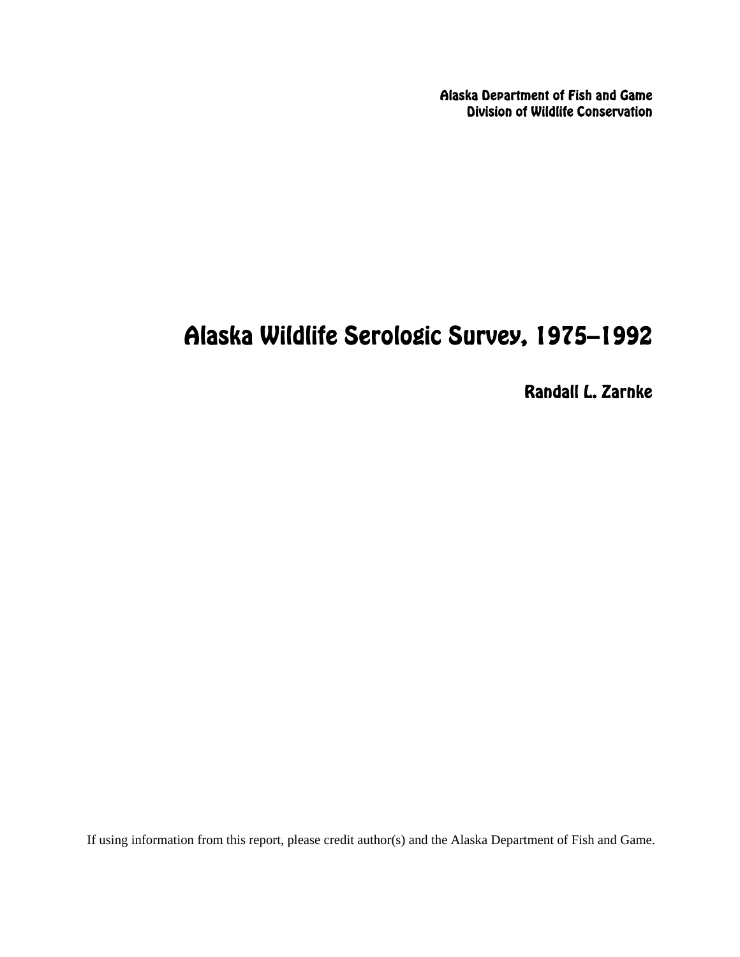Alaska Department of Fish and Game Division of Wildlife Conservation

# Alaska Wildlife Serologic Survey, 1975–1992

Randall L. Zarnke

If using information from this report, please credit author(s) and the Alaska Department of Fish and Game.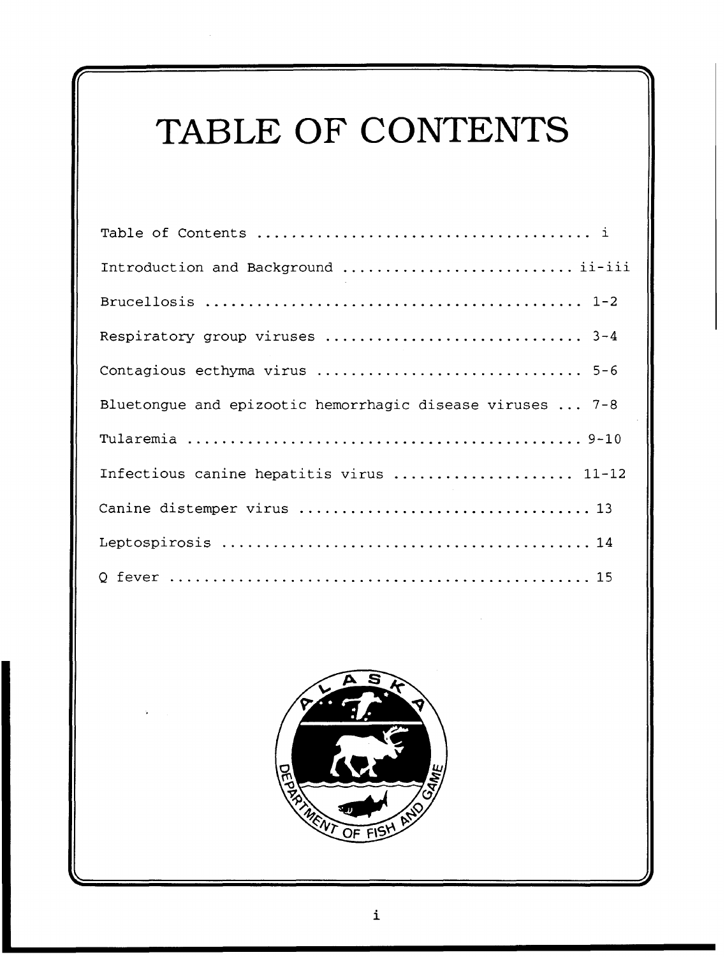# TABLE OF CONTENTS

| Introduction and Background  ii-iii                       |
|-----------------------------------------------------------|
|                                                           |
| Respiratory group viruses  3-4                            |
| Contagious ecthyma virus  5-6                             |
| Bluetongue and epizootic hemorrhagic disease viruses  7-8 |
|                                                           |
| Infectious canine hepatitis virus  11-12                  |
|                                                           |
|                                                           |
|                                                           |

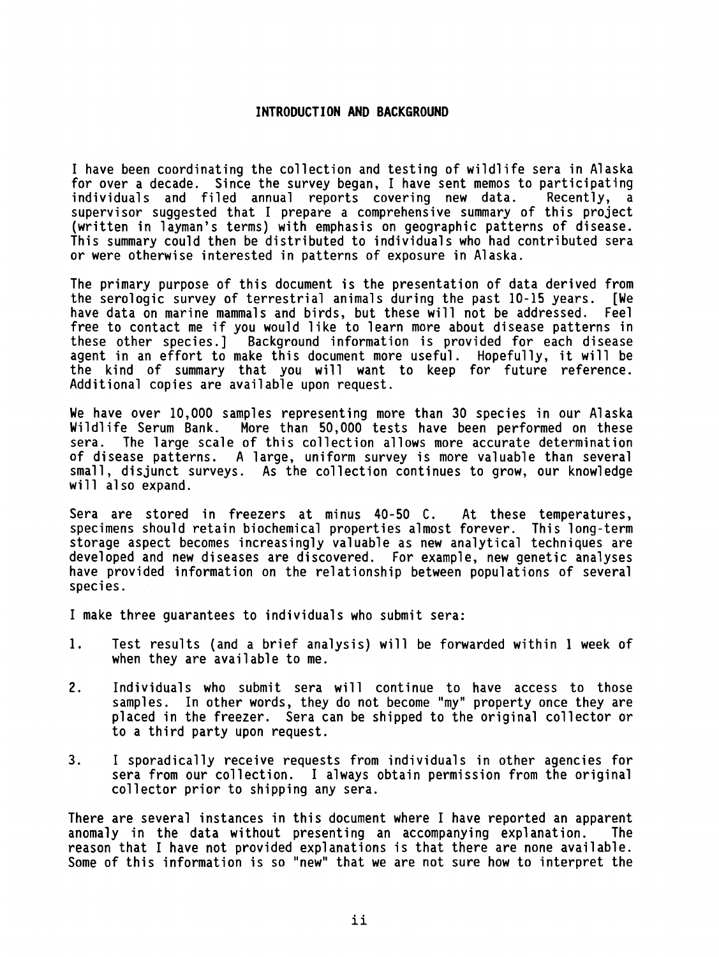#### **INTRODUCTION AND BACKGROUND**

I have been coordinating the collection and testing of wild1 ife sera in Alaska for over a decade. Since the survey began, I have sent memos to participating<br>individuals and filed annual reports covering new data. Recently, a individuals and filed annual reports covering new data. supervisor suggested that I prepare a comprehensive summary of this project (written in 1 ayman's terms) with emphasis on geographic patterns of disease. This summary could then be distributed to individuals who had contributed sera or were otherwise interested in patterns of exposure in Alaska.

The primary purpose of this document is the presentation of data derived from the serologic survey of terrestrial animals during the past 10-15 years. [We have data on marine mammals and birds, but these will not be addressed. Feel free to contact me if you would like to learn more about disease patterns in these other species.] Background information is provided for each disease agent in an effort to make this document more useful. Hopefully, it will be the kind of summary that you will want to keep for future reference. Additional copies are available upon request.

We have over 10,000 samples representing more than 30 species in our Alaska Wildlife Serum Bank. More than 50,000 tests have been performed on these sera. The large scale of this collection allows more accurate determination of disease patterns. A large, uniform survey is more valuable than several small, disjunct surveys. As the collection continues to grow, our knowledge will also expand.

Sera are stored in freezers at minus 40-50 C. At these temperatures, specimens should retain biochemical properties almost forever. This long-term storage aspect becomes increasingly valuable as new analytical techniques are developed and new diseases are discovered. For example, new genetic analyses have provided information on the relationship between populations of several species .

I make three guarantees to individuals who submit sera:

- 1. Test results (and a brief analysis) will be forwarded within 1 week of when they are available to me.
- 2. Individuals who submit sera will continue to have access to those samples. In other words, they do not become "my" property once they are placed in the freezer. Sera can be shipped to the original collector or to a third party upon request.
- 3. I sporadically receive requests from individuals in other agencies for I sporadically receive requests from individuals in other agencies for<br>sera from our collection. I always obtain permission from the original collector prior to shipping any sera.

There are several instances in this document where I have reported an apparent anomaly in the data without presenting an accompanying explanation. reason that I have not provided explanations is that there are none avail able. Some of this information is so "new" that we are not sure how to interpret the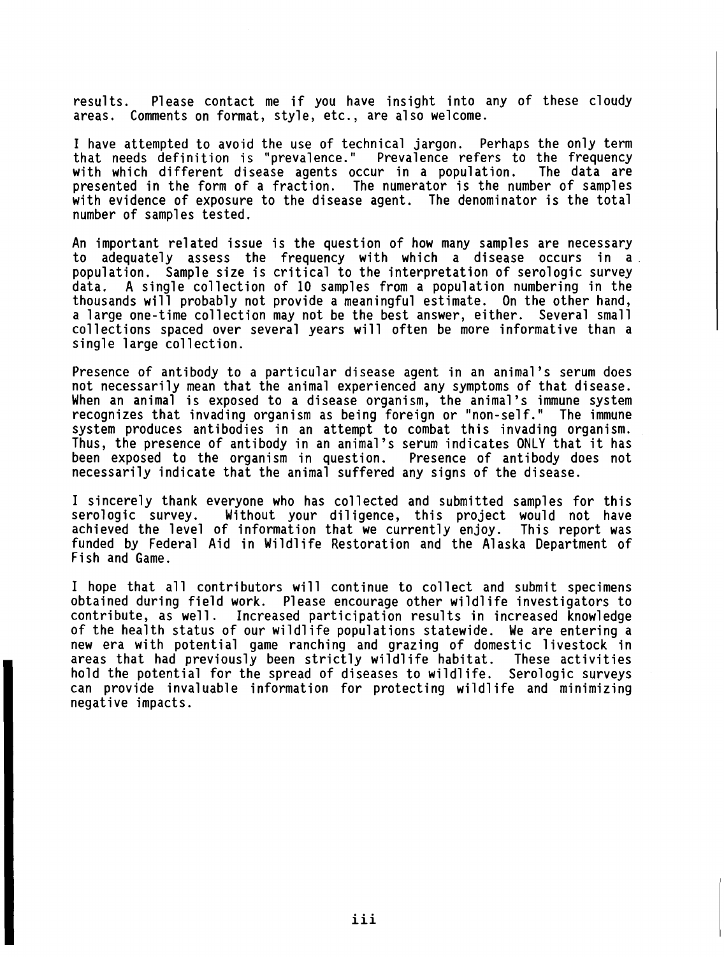results. Please contact me if you have insight into any of these cloudy areas. Comments on format, style, etc., are also welcome.

I have attempted to avoid the use of technical jargon. Perhaps the only term<br>that needs definition is "prevalence." Prevalence refers to the frequency that needs definition is "prevalence." with which different disease agents occur in a population. The data are presented in the form of a fraction. The numerator is the number of samples with evidence of exposure to the disease agent. The denominator is the total number of samples tested.

An important related issue is the question of how many samples are necessary to adequately assess the frequency with which a disease occurs in a population. Sample size is critical to the interpretation of serologic survey data. A single collection of 10 samples from a population numbering in the thousands will probably not provide a meaningful estimate. On the other hand, a large one-time collection may not be the best answer, either. Several small collections spaced over several years will often be more informative than a single large collection.

Presence of antibody to a particular disease agent in an animal's serum does not necessarily mean that the animal experienced any symptoms of that disease. When an animal is exposed to a disease organism, the animal's immune system mich in infinite is exposed to individual erganism, one difficult is finite system. system produces antibodies in an attempt to combat this invading organism. Thus, the presence of antibody in an animal's serum indicates ONLY that it has been exposed to the organism in question. Presence of antibody does not necessarily indicate that the animal suffered any signs of the disease.

I sincerely thank everyone who has collected and submitted samples for this serologic survey. Without your diligence, this project would not have achieved the level of information that we currently enjoy. This report was funded by Federal Aid in Wildlife Restoration and the Alaska Department of Fish and Game.

I hope that all contributors will continue to collect and submit specimens obtained during field work. Please encourage other wildlife investigators to contribute, as well. Increased participation results in increased knowledge of the health status of our wildlife populations statewide. We are entering a new era with potential game ranching and grazing of domestic livestock in areas that had previously been strictly wildlife habitat. These activities hold the potential for the spread of diseases to wildlife. Serologic surveys can provide invaluable information for protecting wildlife and minimizing negative impacts.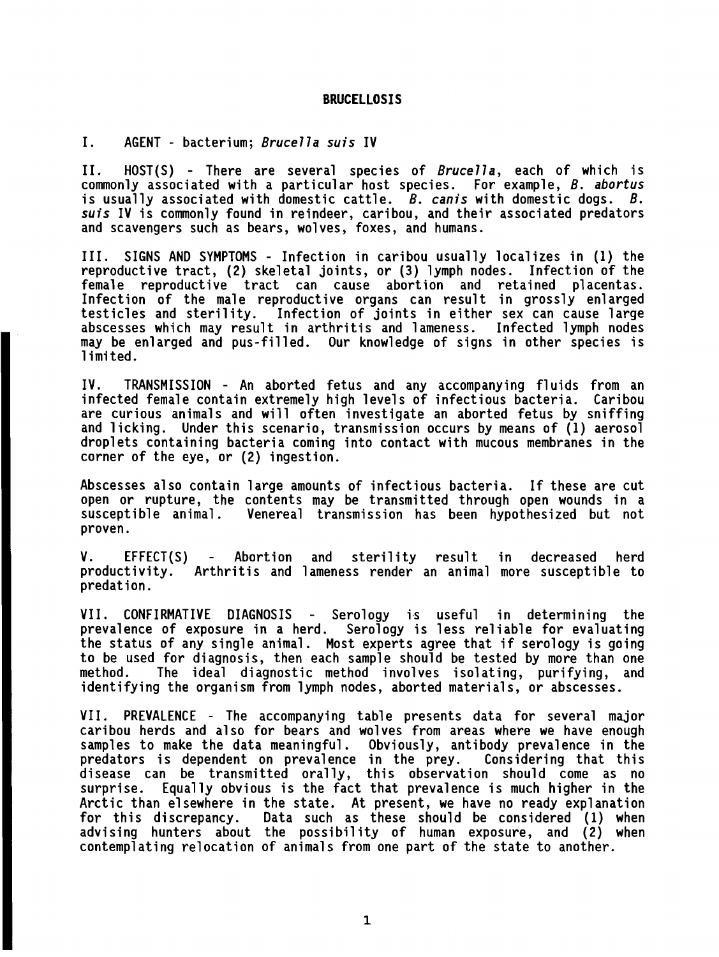#### **BRUCELLOSIS**

I. AGENT - bacterium; Brucella suis IV

II. HOST(S) - There are several species of Brucella, each of which is commonly associated with a particular host species. For example, B. abortus is usually associated with domestic cattle.  $B$ . canis with domestic dogs.  $B$ . suis IV is commonly found in reindeer, caribou, and their associated predators and scavengers such as bears, wolves, foxes, and humans.

111. SIGNS AND SYMPTOMS - Infection in caribou usually localizes in (1) the reproductive tract, (2) skeletal joints, or (3) lymph nodes. Infection of the female reproductive tract can cause abortion and retained placentas. Infection of the male reproductive organs can result in grossly enlarged testicles and sterility. Infection of joints in either sex can cause large abscesses which may result in arthritis and lameness. Infected lymph nodes may be enlarged and pus-filled. Our knowledge of signs in other species is 1 imi ted.

IV. TRANSMISSION - An aborted fetus and any accompanying fluids from an infected female contain extremely high levels of infectious bacteria. Caribou are curious animals and will often investigate an aborted fetus by sniffing and licking. Under this scenario, transmission occurs by means of (1) aerosol droplets containing bacteria coming into contact with mucous membranes in the corner of the eye, or (2) ingestion.

Abscesses also contain large amounts of infectious bacteria. If these are cut open or rupture, the contents may be transmitted through open wounds in a susceptible animal. Venereal transmission has been hypothesized but not proven.

V. EFFECT(S) - Abortion and sterility result in decreased herd productivity. Arthritis and 1 ameness render an animal more susceptible to predation.

VII. CONFIRMATIVE DIAGNOSIS - Serology is useful in determining the prevalence of exposure in a herd. Serology is less reliable for evaluating the status of any single animal. Most experts agree that if serology is going to be used for diagnosis, then each sample should be tested by more than one method. The ideal diagnostic method involves isolating, purifying, and identifying the organism from lymph nodes, aborted materials, or abscesses.

VII. PREVALENCE - The accompanying table presents data for several major caribou herds and also for bears and wolves from areas where we have enough samples to make the data meaningful. Obviously, antibody prevalence in the predators is dependent on prevalence in the prey. Considering that this disease can be transmitted orally, this observation should come as no surprise. Equally obvious is the fact that prevalence is much higher in the Arctic than elsewhere in the state. At present, we have no ready explanation for this discrepancy. Data such as these should be considered (1) when advising hunters about the possibility of human exposure, and (2) when contemplating relocation of animals from one part of the state to another.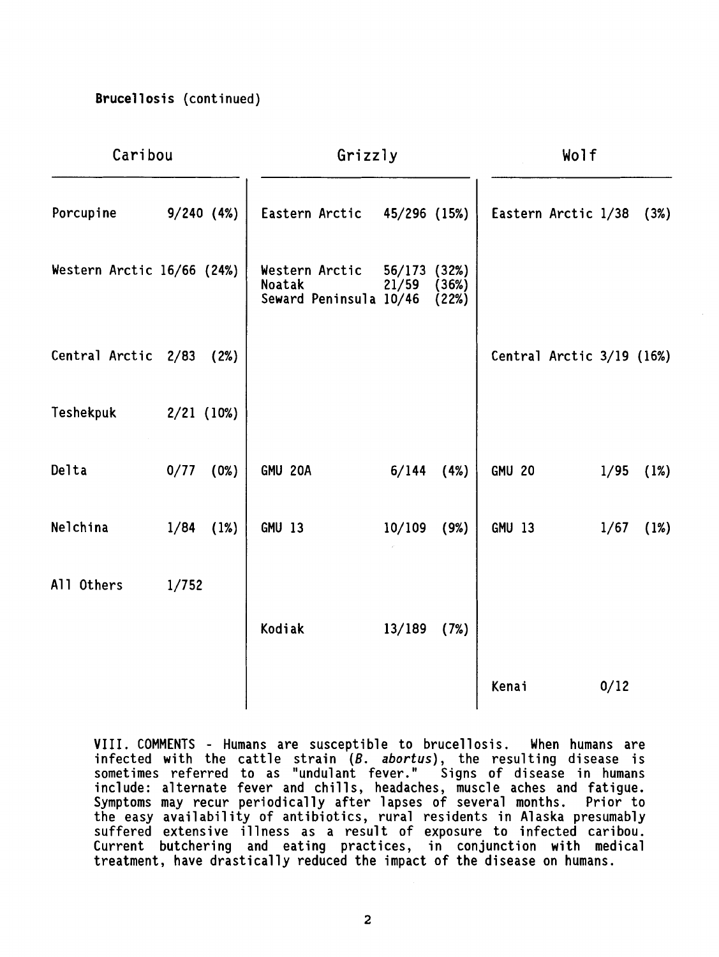# **Brucellosis (continued)**

| Caribou                    |              | Grizzly |                                                    |                 | Wolf                    |               |                           |      |
|----------------------------|--------------|---------|----------------------------------------------------|-----------------|-------------------------|---------------|---------------------------|------|
| Porcupine                  | 9/240(4%)    |         | Eastern Arctic 45/296 (15%)                        |                 |                         |               | Eastern Arctic 1/38       | (3%) |
| Western Arctic 16/66 (24%) |              |         | Western Arctic<br>Noatak<br>Seward Peninsula 10/46 | 56/173<br>21/59 | (32%)<br>(36%)<br>(22%) |               |                           |      |
| Central Arctic 2/83        |              | (2%)    |                                                    |                 |                         |               | Central Arctic 3/19 (16%) |      |
| Teshekpuk                  | $2/21$ (10%) |         |                                                    |                 |                         |               |                           |      |
| Delta                      | 0/77         | (0%)    | GMU 20A                                            | $6/144$ $(4%)$  |                         | <b>GMU 20</b> | 1/95                      | (1%) |
| Nelchina                   | 1/84         | (1%)    | <b>GMU 13</b>                                      | 10/109          | (9%)                    | GMU 13        | 1/67                      | (1%) |
| All Others                 | 1/752        |         |                                                    |                 |                         |               |                           |      |
|                            |              |         | Kodiak                                             | 13/189          | (7%)                    |               |                           |      |
|                            |              |         |                                                    |                 |                         | Kenai         | 0/12                      |      |

VIII. COMMENTS - Humans are susceptible to brucellosis. When humans are infected with the cattle strain (*B. abortus*), the resulting disease is sometimes referred to as "undulant fever." Signs of disease in humans include: alternate fever and chills, headaches, muscle aches and fatigue. Symptoms may recur periodically after lapses of several months. Prior to the easy availability of antibiotics, rural residents in Alaska presumably suffered extensive illness as a result of exposure to infected caribou. Current butchering and eating practices, in conjunction with medical treatment, have drastically reduced the impact of the disease on humans.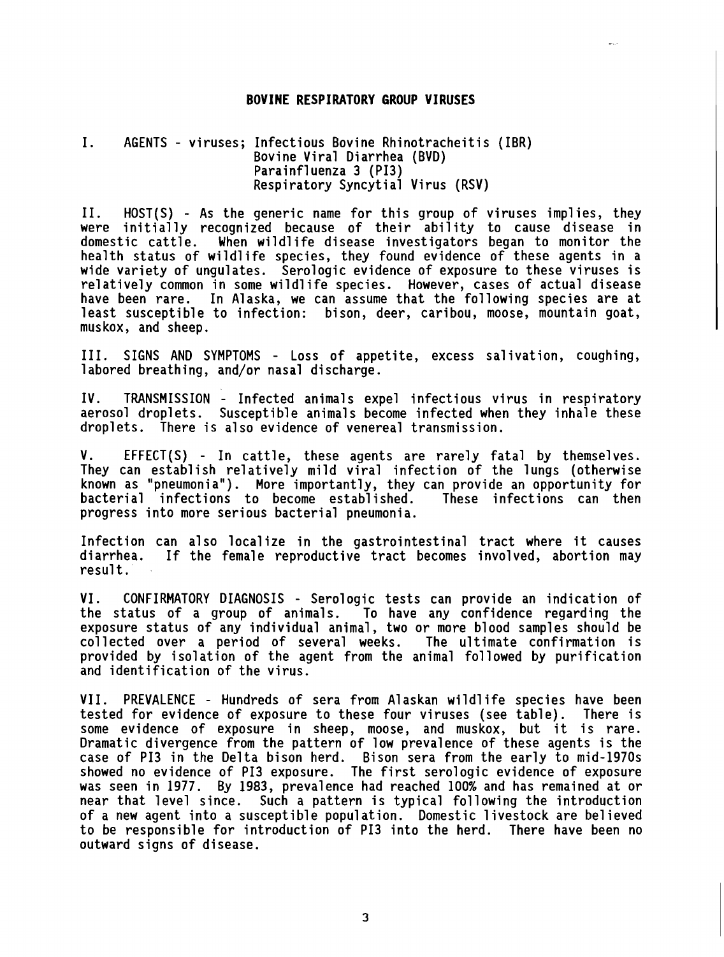#### **BOVINE RESPIRATORY GROUP VIRUSES**

# I. AGENTS - viruses; Infectious Bovine Rhinotracheitis (IBR) Bovine Viral Diarrhea (BVD) Parainfluenza 3 (PI3) Respiratory Syncytial Virus (RSV)

11. HOST(S) - As the generic name for this group of viruses implies, they were initially recognized because of their ability to cause disease in domestic cattle. When wildlife disease investigators began to monitor the health status of wildlife species, they found evidence of these agents in a Wide variety of ungulates. Serologic evidence of exposure to these viruses is<br>relatively common in some wildlife species. However, cases of actual disease<br>howe heat were not allocks we can accure that the following aposiac have been rare. In Alaska, we can assume that the following species are at least susceptible to infection: bison, deer, caribou, moose, mountain goat, muskox, and sheep.

111. SIGNS AND SYMPTOMS - Loss of appetite, excess salivation, coughing, labored breathing, and/or nasal discharge.

IV. TRANSMISSION - Infected animals expel infectious virus in respiratory aerosol droplets. Susceptible animals become infected when they inhale these droplets. There is also evidence of venereal transmission.

V. EFFECT(S) - In cattle, these agents are rarely fatal by themselves. They can establish relatively mild viral infection of the lungs (otherwise known as "pneumonia"). More importantly, they can provide an opportunity for bacterial infections to become established. These infections can then progress into more serious bacterial pneumonia.

Infection can also localize in the gastrointestinal tract where it causes If the female reproductive tract becomes involved, abortion may result.

VI. CONFIRMATORY DIAGNOSIS - Serologic tests can provide an indication of the status of a group of animals. To have any confidence regarding the exposure status of any individual animal, two or more blood samples should be collected over a period of several weeks. The ultimate confirmation is provided by isolation of the agent from the animal followed by purification and identification of the virus.

VII. PREVALENCE - Hundreds of sera from Alaskan wild1 ife species have been tested for evidence of exposure to these four viruses (see table). There is some evidence of exposure in sheep, moose, and muskox, but it is rare. Dramatic divergence from the pattern of low prevalence of these agents is the case of PI3 in the Delta bison herd. Bison sera from the early to mid-1970s showed no evidence of PI3 exposure. The first serologic evidence of exposure was seen in 1977. By 1983, prevalence had reached 100% and has remained at or near that level since. Such a pattern is typical following the introduction of a new agent into a susceptible population. Domestic livestock are believed to be responsible for introduction of PI3 into the herd. There have been no outward signs of disease.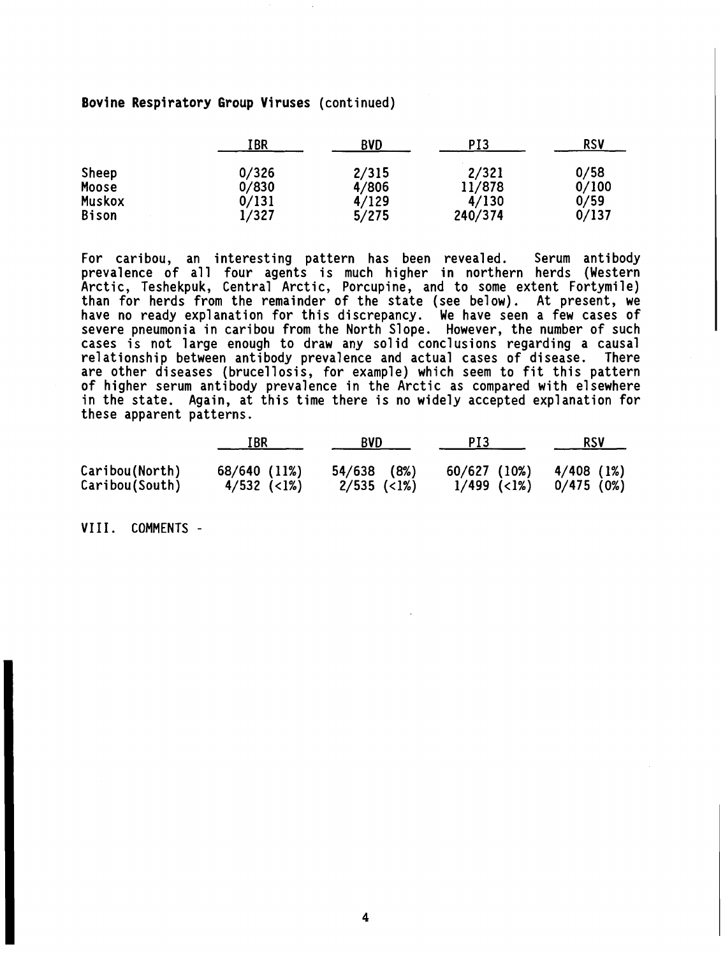# **Bovine Respiratory Group Viruses** (continued)

|              | IBR   | <b>BVD</b> | PI3     | <b>RSV</b> |
|--------------|-------|------------|---------|------------|
| Sheep        | 0/326 | 2/315      | 2/321   | 0/58       |
| Moose        | 0/830 | 4/806      | 11/878  | 0/100      |
| Muskox       | 0/131 | 4/129      | 4/130   | 0/59       |
| <b>Bison</b> | 1/327 | 5/275      | 240/374 | 0/137      |

For caribou, an interesting pattern has been revealed. Serum antibody prevalence of all four agents is much higher in northern herds (Western Arctic, Teshekpuk, Central Arctic, Porcupine, and to some extent Fortymile) than for herds from the remainder of the state (see below). At present, we have no ready explanation for this discrepancy. We have seen a few cases of severe pneumonia in caribou from the North Slope. However, the number of such cases is not large enough to draw any solid conclusions regarding a causal relationship between antibody prevalence and actual cases of disease. There are other diseases (brucellosis, for example) which seem to fit this pattern of higher serum anti body prevalence in the Arctic as compared with elsewhere in the state. Again, at this time there is no widely accepted explanation for these apparent patterns.

|                | IBR           | <b>BVD</b>    | PI3           | <b>RSV</b> |
|----------------|---------------|---------------|---------------|------------|
| Caribou(North) | 68/640 (11%)  | $54/638$ (8%) | 60/627 (10%)  | 4/408 (1%) |
| Caribou(South) | $4/532$ (<1%) | $2/535$ (<1%) | $1/499$ (<1%) | 0/475(0%)  |

VIII. COMMENTS -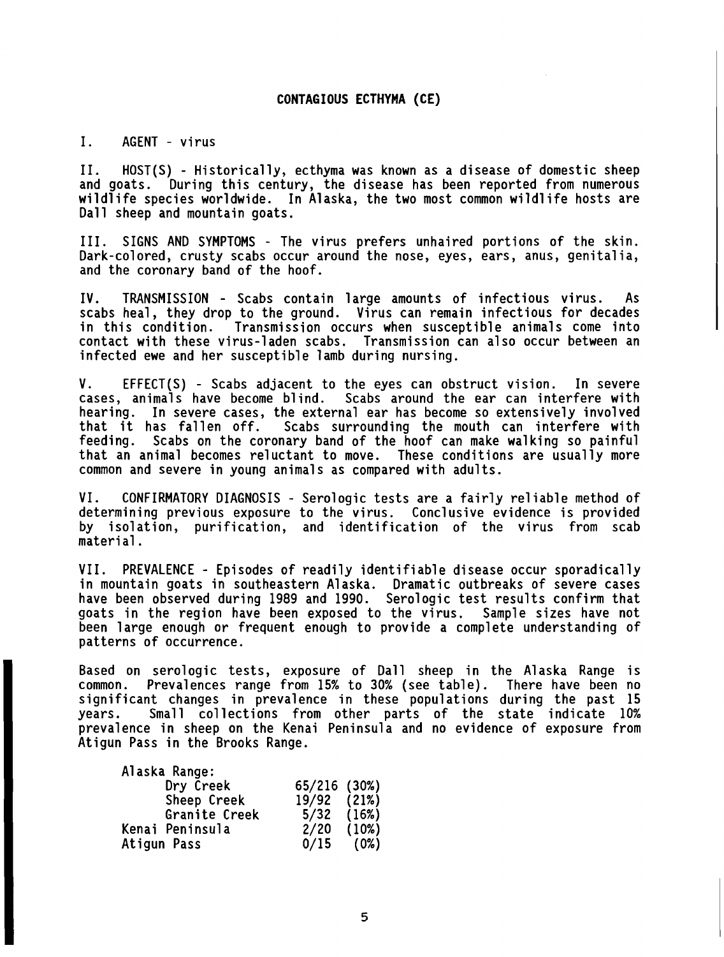#### **CONTAG I OUS ECTHYMA (CE)**

## I. AGENT - virus

11. HOST(S) - Historically, ecthyma was known as a disease of domestic sheep and goats. During this century, the disease has been reported from numerous wildlife species worldwide. In Alaska, the two most common wildlife hosts are Dall sheep and mountain goats.

111. SIGNS AND SYMPTOMS - The virus prefers unhaired portions of the skin. Dark-colored, crusty scabs occur around the nose, eyes, ears, anus, genitalia, and the coronary band of the hoof.

IV. TRANSMISSION - Scabs contain large amounts of infectious virus. As scabs heal, they drop to the ground. Virus can remain infectious for decades<br>in this condition. Transmission occurs when susceptible animals come into Transmission occurs when susceptible animals come into contact with these virus-1 aden scabs. Transmission can a1 so occur between an infected ewe and her susceptible lamb during nursing.

V. EFFECT(S) - Scabs adjacent to the eyes can obstruct vision. In severe cases, animals have become blind. Scabs around the ear can interfere with Scabs around the ear can interfere with. hearing. In severe cases, the external ear has become so extensively involved that it has fallen off. Scabs surrounding the mouth can interfere with feeding. Scabs on the coronary band of the hoof can make walking so painful that an animal becomes reluctant to move. These conditions are usually more common and severe in young animals as compared with adults.

VI. CONFIRMATORY DIAGNOSIS - Serologic tests are a fairly reliable method of determining previous exposure to the virus. Conclusive evidence is provided by isolation, purification, and identification of the virus from scab material.

VII. PREVALENCE - Episodes of readily identifiable disease occur sporadically in mountain goats in southeastern Alaska. Dramatic outbreaks of severe cases have been observed during 1989 and 1990. Serologic test results confirm that goats in the region have been exposed to the virus. Sample sizes have not been large enough or frequent enough to provide a complete understanding of patterns of occurrence.

Based on serologic tests, exposure of Dall sheep in the Alaska Range is common. Prevalences range from 15% to 30% (see table). There have been no significant changes in prevalence in these populations during the past 15 years. Small collections from other parts of the state indicate 10% prevalence in sheep on the Kenai Peninsula and no evidence of exposure from Atigun Pass in the Brooks Range.

| Alaska Range:   |                |       |
|-----------------|----------------|-------|
| Dry Creek       | 65/216 (30%)   |       |
| Sheep Creek     | 19/92 (21%)    |       |
| Granite Creek   | $5/32$ $(16%)$ |       |
| Kenai Peninsula | 2/20           | (10%) |
| Atiqun Pass     | $0/15$ (0%)    |       |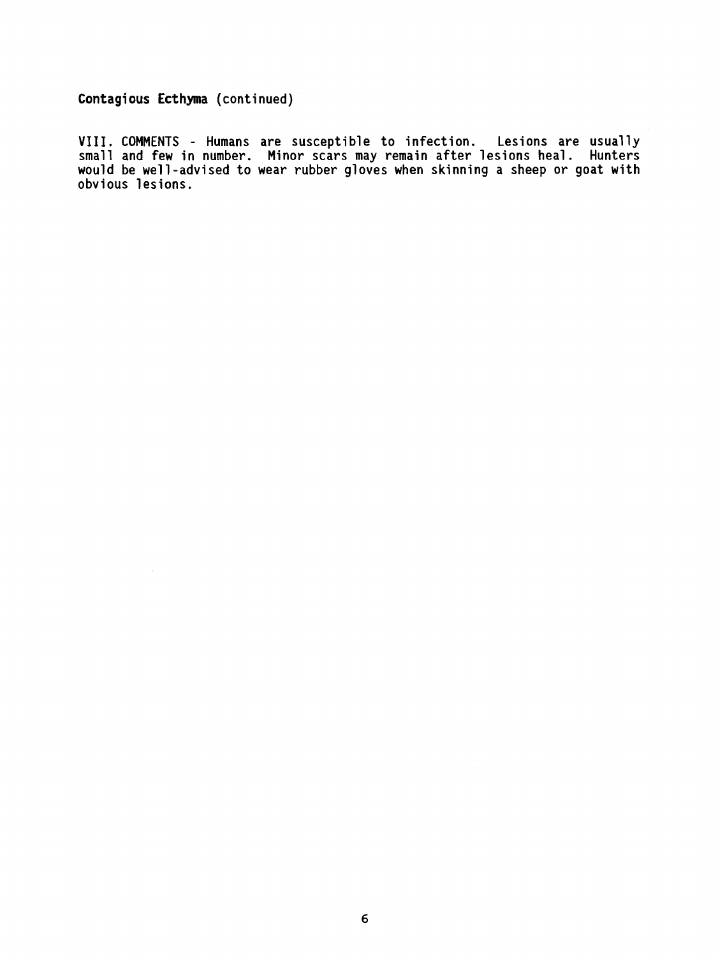**Contagious Ecthyma (continued)** 

**VIII. COMMENTS** - **Humans are susceptible to infection. Lesions are usually small and few in number. Minor scars may remain after lesions heal. Hunters would be well-advised to wear rubber gloves when skinning a sheep or goat with obvious lesions.** 

 $\sim$   $\sim$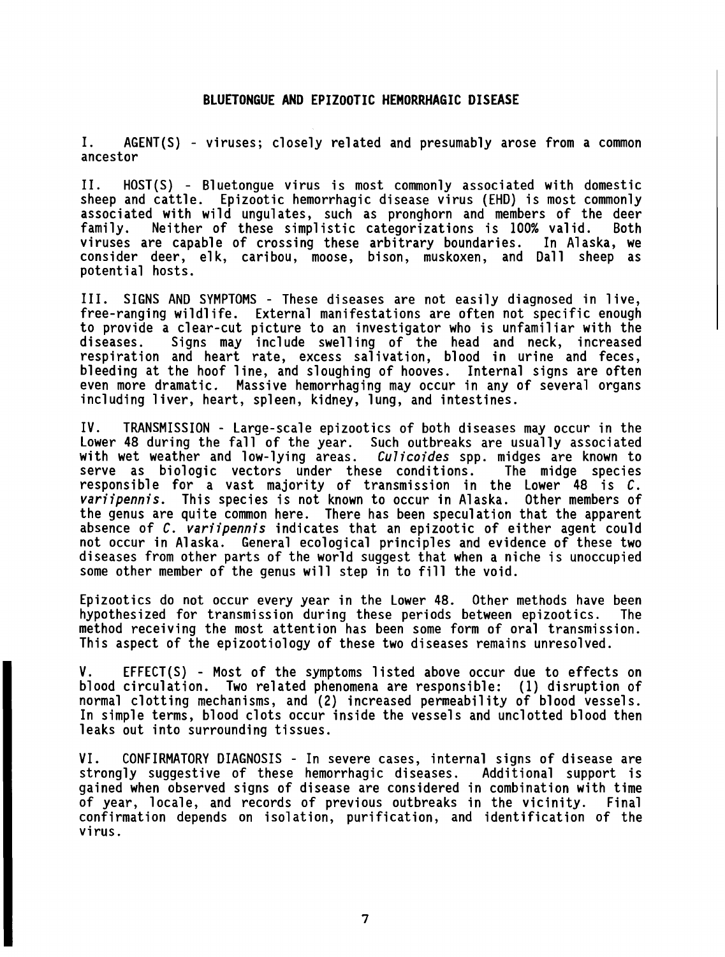I. AGENT(S) - viruses; closely related and presumably arose from a common ancestor

11. HOST(S) - Bluetongue virus is most commonly associated with domestic sheep and cattle. Epizootic hemorrhagic disease virus (EHD) is most commonly associated with wild ungulates, such as pronghorn and members of the deer family. Neither of these simplistic categorizations is 100% valid. Both viruses are capable of crossing these arbitrary boundaries. consider deer, elk, caribou, moose, bison, muskoxen, and Dall sheep as potential hosts.

111. SIGNS AND SYMPTOMS - These diseases are not easily diagnosed in 1 ive, free-ranging wild1 ife. External manifestations are often not specific enough to provide a clear-cut picture to an investigator who is unfamiliar with the diseases. Signs may include swelling of the head and neck, increased respiration and heart rate, excess salivation, blood in urine and feces, bleeding at the hoof line, and sloughing of hooves. Internal signs are often even more dramatic. Massive hemorrhaging may occur in any of several organs including liver, heart, spleen, kidney, lung, and intestines.

IV. TRANSMISSION - Large-scale epizootics of both diseases may occur in the Lower **48** during the fall of the year. Such outbreaks are usually associated with wet weather and low-lying areas. **Culicoides** spp. midges are known to serve as biologic vectors under these conditions. The midge species responsible for a vast majority of transmission in the Lower **48** is **C. variipennis.** This species is not known to occur in Alaska. Other members of the genus are quite common here. There has been speculation that the apparent absence of **C. variipennis** indicates that an epizootic of either agent could not occur in Alaska. General ecological principles and evidence of these two diseases from other parts of the world suggest that when a niche is unoccupied some other member of the genus will step in to fill the void.

Epizootics do not occur every year in the Lower **48.** Other methods have been hypothesized for transmission during these periods between epizootics. The method receiving the most attention has been some form of oral transmission. This aspect of the epizootiology of these two diseases remains unresolved.

V. EFFECT(S) - Most of the symptoms listed above occur due to effects on blood circulation. Two related phenomena are responsible: (1) disruption of normal clotting mechanisms, and (2) increased permeability of blood vessels. In simple terms, blood clots occur inside the vessels and unclotted blood then leaks out into surrounding tissues.

VI. CONFIRMATORY DIAGNOSIS - In severe cases, internal signs of disease are strongly suggestive of these hemorrhagic diseases. Additional support is gained when observed signs of disease are considered in combination with time of year, locale, and records of previous outbreaks in the vicinity. Final confirmation depends on isolation, purification, and identification of the virus.

 $\overline{7}$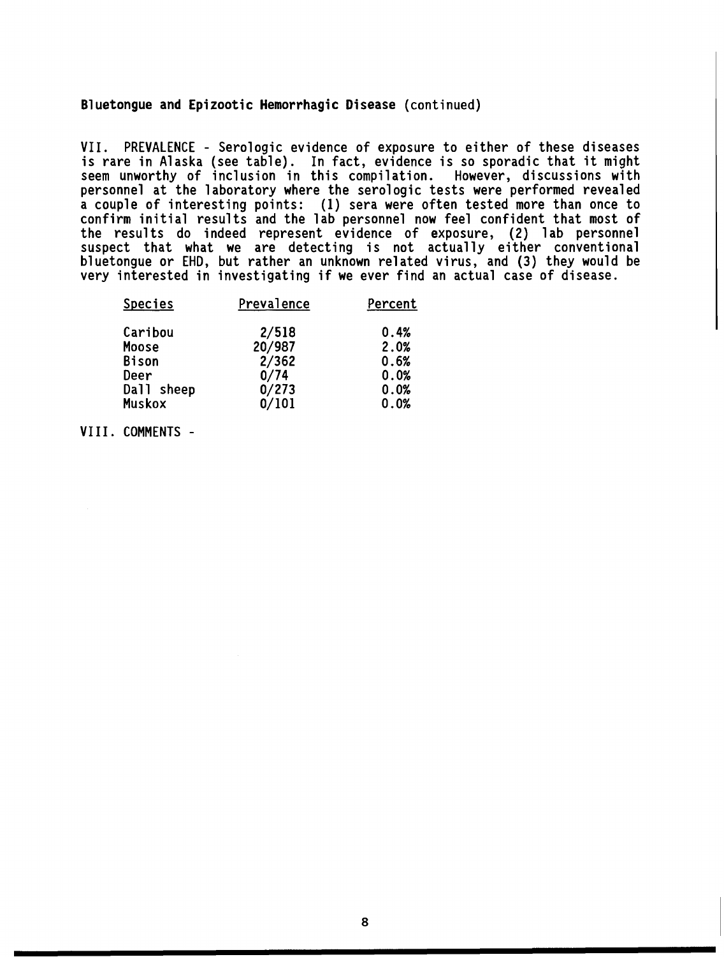## Bluetongue and Epizootic Hemorrhagic Disease (continued)

VII. PREVALENCE - Serologic evidence of exposure to either of these diseases is rare in Alaska (see table). In fact, evidence is so sporadic that it might seem unworthy of inclusion in this compilation. However, discussions with personnel at the laboratory where the serologic tests were performed revealed a couple of interesting points: (1) sera were often tested more than once to confirm initial results and the lab personnel now feel confident that most of the results do indeed represent evidence of exposure, (2) lab personnel suspect that what we are detecting is not actually either conventional bluetongue or EHD, but rather an unknown related virus, and (3) they would be very interested in investigating if we ever find an actual case of disease.

| <b>Species</b> | Prevalence | Percent |  |
|----------------|------------|---------|--|
| Caribou        | 2/518      | 0.4%    |  |
| Moose          | 20/987     | 2.0%    |  |
| <b>Bison</b>   | 2/362      | 0.6%    |  |
| Deer           | 0/74       | 0.0%    |  |
| Dall sheep     | 0/273      | 0.0%    |  |
| Muskox         | 0/101      | 0.0%    |  |

VIII. COMMENTS -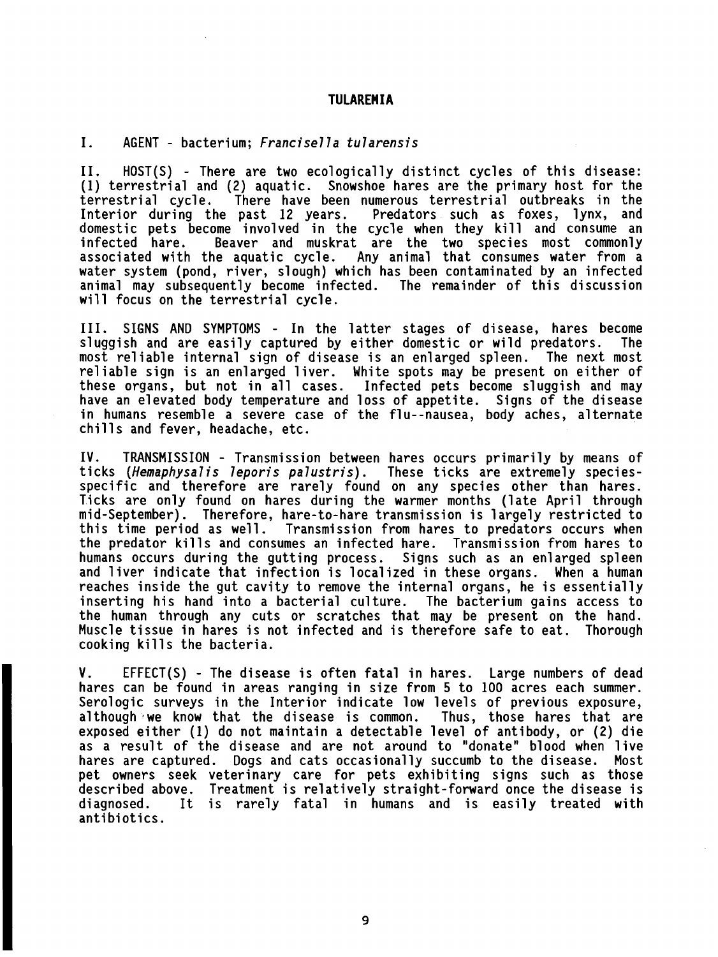#### **TULAREMIA**

I. AGENT - bacterium; Francisella tularensis

11. HOST(S) - There are two ecologically distinct cycles of this disease: (1) terrestrial and (2) aquatic. Snowshoe hares are the primary host for the There have been numerous terrestrial outbreaks in the<br>past 12 years. Predators such as foxes, lynx, and Interior during the past 12 years. domestic pets become involved in the cycle when they kill and consume an infected hare. Beaver and muskrat are the two species most commonly Beaver and muskrat are the two species most commonly associated with the aquatic cycle. Any animal that consumes water from a water system (pond, river, slough) which has been contaminated by an infected animal may subsequently become infected. The remainder of this discussion will focus on the terrestrial cycle.

111. SIGNS AND SYMPTOMS - In the latter stages of disease, hares become sluggish and are easily captured by either domestic or wild predators. most re1 iable internal sign of disease is an enlarged spleen. The next most reliable sign is an enlarged liver. White spots may be present on either of these organs, but not in all cases. Infected pets become sluggish and may have an elevated body temperature and loss of appetite. Signs of the disease in humans resemble a severe case of the flu--nausea, body aches, alternate chills and fever, headache, etc.

IV. TRANSMISSION - Transmission between hares occurs primarily by means of ticks (Hemaphysalis leporis palustris). These ticks are extremely speciesspecific and therefore are rarely found on any species other than hares. Ticks are only found on hares during the warmer months (late April through mid-September) . Therefore, hare-to-hare transmission is 1 argely restricted to this time period as well. Transmission from hares to predators occurs when the predator kills and consumes an infected hare. Transmission from hares to humans occurs during the gutting process. Signs such as an enlarged spleen and liver indicate that infection is localized in these organs. When a human reaches inside the gut cavity to remove the internal organs, he is essentially inserting his hand into a bacterial culture. The bacterium gains access to the human through any cuts or scratches that may be present on the hand. Muscle tissue in hares is not infected and is therefore safe to eat. Thorough cooking kills the bacteria.

V. EFFECT(S) - The disease is often fatal in hares. Large numbers of dead hares can be found in areas ranging in size from 5 to 100 acres each summer. Serologic surveys in the Interior indicate low levels of previous exposure, although we know that the disease is common. Thus, those hares that are exposed either (1) do not maintain a detectable level of antibody, or (2) die as a result of the disease and are not around to "donate" blood when live hares are captured. Dogs and cats occasionally succumb to the disease. Most pet owners seek veterinary care for pets exhibiting signs such as those described above. Treatment is relatively straight-forward once the disease is diagnosed. It is rarely fatal in humans and is easily treated with antibiotics.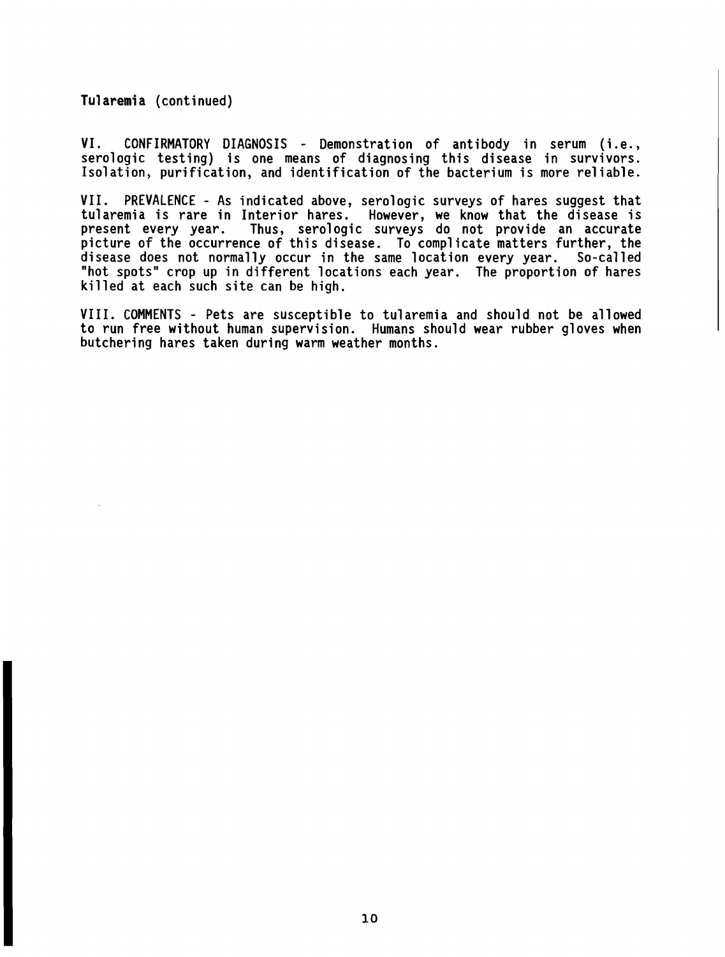Tularemia (continued)

VI. CONFIRMATORY DIAGNOSIS - Demonstration of antibody in serum (i.e., serologic testing) is one means of diagnosing this disease in survivors. Isolation, purification, and identification of the bacterium is more reliable.

VII. PREVALENCE - As indicated above, serologic surveys of hares suggest that tularemia is rare in Interior hares. However, we know that the disease is present every year. Thus, serologic surveys do not provide an accurate picture of the occurrence of this disease. To complicate matters further, the disease does not normally occur in the same location every year. So-called "hot spots" crop up in different locations each year. The proportion of hares killed at each such site can be high.

VIII. COMMENTS - Pets are susceptible to tularemia and should not be allowed to run free without human supervision. Humans should wear rubber gloves when butchering hares taken during warm weather months.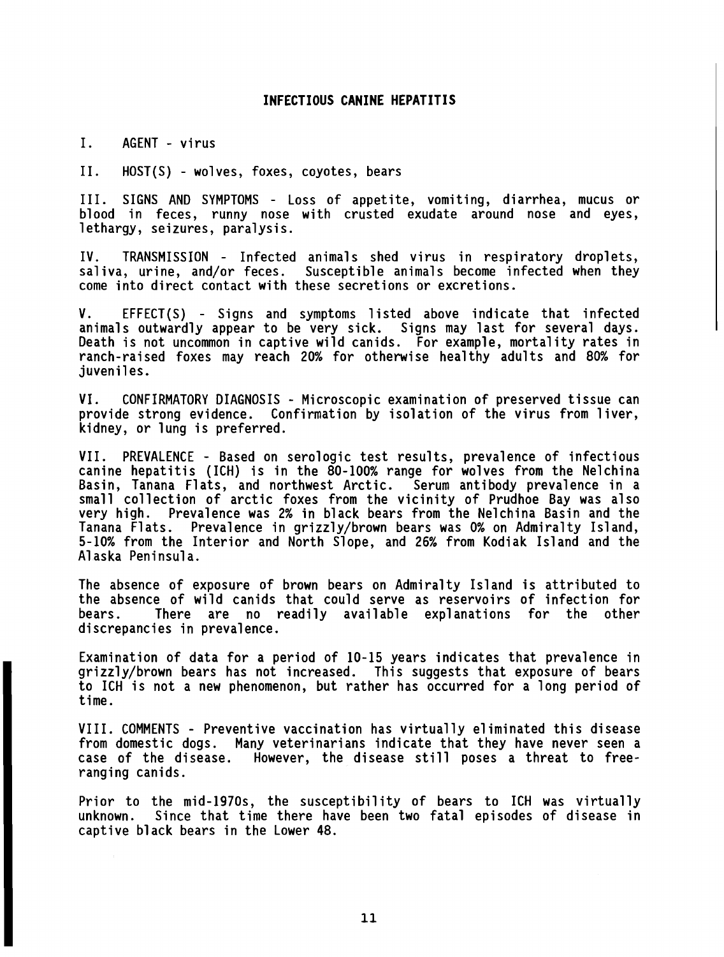#### **INFECTIOUS CANINE HEPATITIS**

I. AGENT - virus

11. HOST(S) - wolves, foxes, coyotes, bears

111. SIGNS AND SYMPTOMS - Loss of appetite, vomiting, diarrhea, mucus or blood in feces, runny nose with crusted exudate around nose and eyes, lethargy, seizures, paralysis.

IV. TRANSMISSION - Infected animals shed virus in respiratory droplets, sal iva, urine, and/or feces. Susceptible animals become infected when they come into direct contact with these secretions or excretions.

V. EFFECT(S) - Signs and symptoms listed above indicate that infected animals outwardly appear to be very sick. Signs may last for several days. Death is not uncommon in captive wild canids. For example, mortality rates in ranch-raised foxes may reach **20%** for otherwise healthy adults and **80%** for juveniles.

VI. CONFIRMATORY DIAGNOSIS - Microscopic examination of preserved tissue can provide strong evidence. Confirmation by isolation of the virus from liver, kidney, or lung is preferred.

VII. PREVALENCE - Based on serologic test results, prevalence of infectious canine hepatitis (ICH) is in the **80-100%** range for wolves from the Nelchina Basin, Tanana Flats, and northwest Arctic. Serum antibody prevalence in a small collection of arctic foxes from the vicinity of Prudhoe Bay was also very high. Prevalence was **2%** in black bears from the Nelchina Basin and the Tanana Flats. Prevalence in grizzly/brown bears was **0%** on Admiralty Island, **5-10%** from the Interior and North Slope, and **26%** from Kodiak Island and the A1 aska Peninsula.

The absence of exposure of brown bears on Admiralty Island is attributed to the absence of wild canids that could serve as reservoirs of infection for bears. There are no readily available explanations for the other discrepancies in prevalence.

Examination of data for a period of **10-15** years indicates that prevalence in grizzly/brown bears has not increased. This suggests that exposure of bears to ICH is not a new phenomenon, but rather has occurred for a long period of time.

VIII. COMMENTS - Preventive vaccination has virtually eliminated this disease from domestic dogs. Many veterinarians indicate that they have never seen a case of the disease. However, the disease still poses a threat to freeranging canids.

Prior to the mid-1970s, the susceptibility of bears to ICH was virtually unknown. Since that time there have been two fatal episodes of disease in captive black bears in the Lower **48.**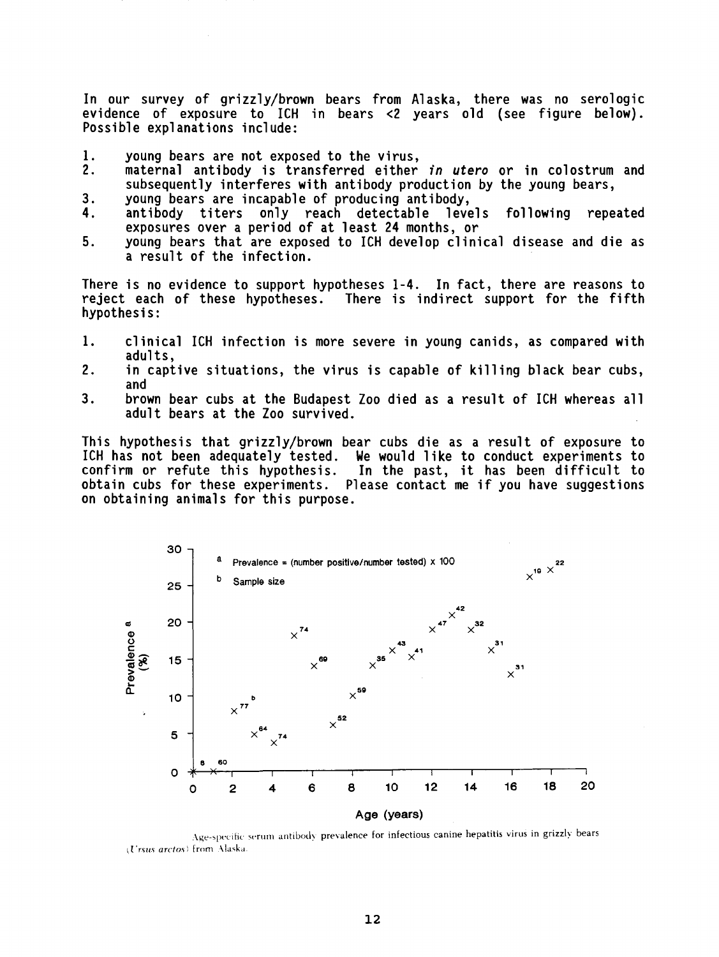In our survey of grizzly/brown bears from Alaska, there was no serologic evidence of exposure to ICH in bears <2 years old (see figure below). Possible explanations include:

- 1. young bears are not exposed to the virus,<br>2. maternal antibody is transferred either
- maternal antibody is transferred either in utero or in colostrum and subsequently interferes with antibody production by the young bears,
- 
- 3. young bears are incapable of producing antibody,<br>4. antibody titers only reach detectable levels following repeated antibody titers only reach detectable exposures over a period of at least 24 months, or
- 5. young bears that are exposed to ICH develop clinical disease and die as a result of the infection.

There is no evidence to support hypotheses 1-4. In fact, there are reasons to reject each of these hypotheses. There is indirect support for the fifth There is indirect support for the fifth hypothesis:

- 1. clinical ICH infection is more severe in young canids, as compared with adults.
- 2. in captive situations, the virus is capable of killing black bear cubs, and
- **3.** brown bear cubs at the Budapest Zoo died as a result of ICH whereas all adult bears at the Zoo survived.

This hypothesis that grizzly/brown bear cubs die as a result of exposure to ICH has not been adequately tested. We would like to conduct experiments to confirm or refute this hypothesis. In the past, it has been difficult to obtain cubs for these experiments. Please contact me if you have suggestions on obtaining animals for this purpose.



Age-specific serum antibody prevalence for infectious canine hepatitis virus in grizzly bears  $(U$ rsus arctos) from Alaska.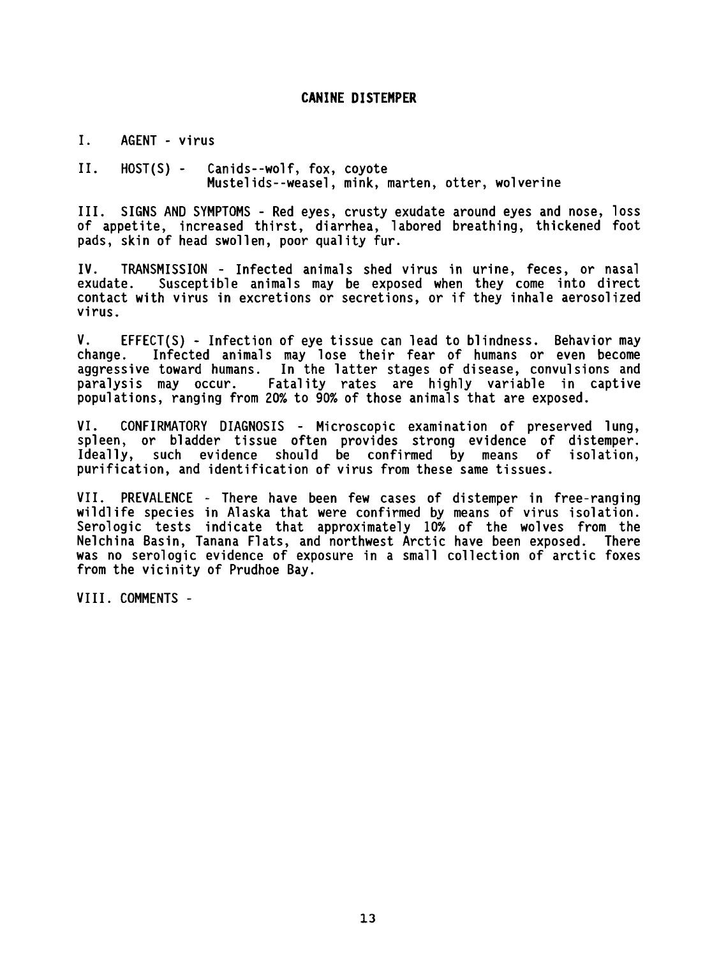# **CANINE DISTEMPER**

I. AGENT - virus

11. HOST(S) - Canids--wolf, fox, coyote Mustelids--weasel, mink, marten, otter, wolverine

111. SIGNS AND SYMPTOMS - Red eyes, crusty exudate around eyes and nose, loss of appetite, increased thirst, diarrhea, labored breathing, thickened foot<br>pads, skin of head swollen, poor quality fur.

IV. TRANSMISSION - Infected animals shed virus in urine, feces, or nasal Susceptible animals may be exposed when they come into direct contact with virus in excretions or secretions, or if they inhale aerosolized virus.

V. EFFECT(S) - Infection of eye tissue can lead to blindness. Behavior may Infected animals may lose their fear of humans or even become aggressive toward humans. In the latter stages of disease, convulsions and paralysis may occur. Fatality rates are highly variable in captive populations, ranging from 20% to 90% of those animals that are exposed.

VI. CONFIRMATORY DIAGNOSIS - Microscopic examination of preserved lung, spleen, or bladder tissue often provides strong evidence of distemper. Ideally, such evidence should be confirmed by means of isolation, purification, and identification of virus from these same tissues.

VII. PREVALENCE - There have been few cases of distemper in free-ranging wildlife species in Alaska that were confirmed by means of virus isolation. Serologic tests indicate that approximately 10% of the wolves from the Nelchina Basin, Tanana Flats, and northwest Arctic have been exposed. There was no serologic evidence of exposure in a small collection of arctic foxes from the vicinity of Prudhoe Bay.

VIII. COMMENTS -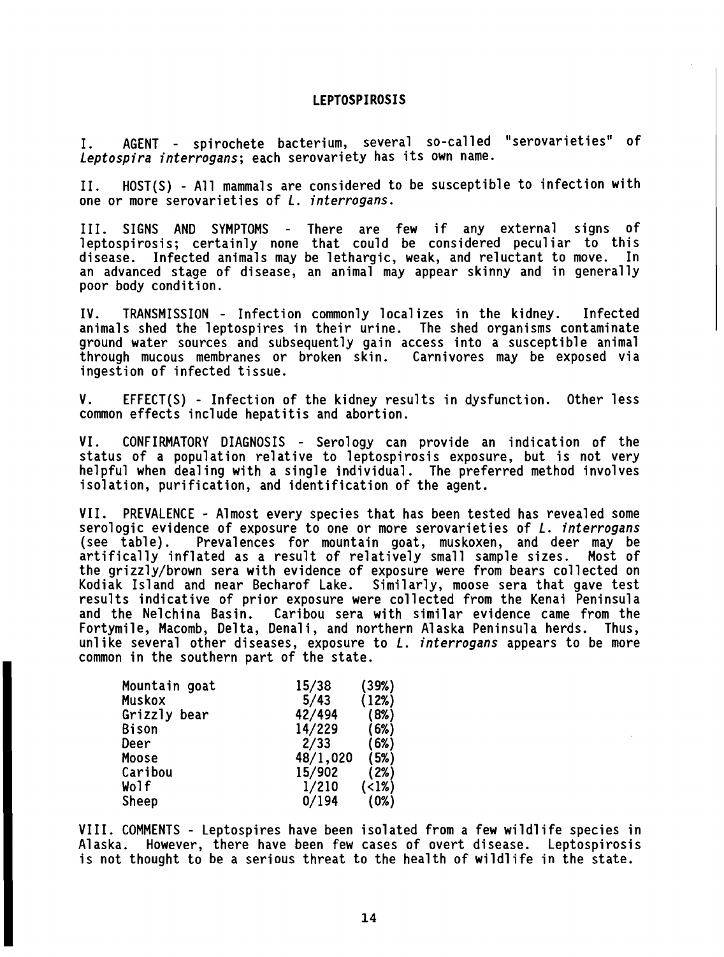#### **LEPTOSPIROSIS**

I. AGENT - spirochete bacterium, several so-called "serovarieties" of Leptospira interrogans; each serovariety has its own name.

11. HOST(S) - All mammals are considered to be susceptible to infection with one or more serovarieties of L. interrogans.

111. SIGNS AND SYMPTOMS - There are few if any external signs of leptospirosis; certainly none that could be considered peculiar to this disease. Infected animals may be lethargic, weak, and reluctant to move. In an advanced stage of disease, an animal may appear skinny and in generally poor body condition.

IV. TRANSMISSION - Infection commonly localizes in the kidney. Infected animals shed the leptospires in their urine. The shed organisms contaminate ground water sources and subsequently gain access into a susceptible animal through mucous membranes or broken skin. Carnivores may be exposed via ingestion of infected tissue.

V. EFFECT(S) - Infection of the kidney results in dysfunction. Other less common effects include hepatitis and abortion.

VI. CONFIRMATORY DIAGNOSIS - Serology can provide an indication of the status of a population relative to leptospirosis exposure, but is not very helpful when dealing with a single individual. The preferred method involves isolation, purification, and identification of the agent.

VII. PREVALENCE - Almost every species that has been tested has revealed some serologic evidence of exposure to one or more serovarieties of L. *interrogans* (see table). Prevalences for mountain goat, muskoxen, and deer may be artifically inflated as a result of relatively small sample sizes. Most of the grizzly/brown sera with evidence of exposure were from bears collected on Kodiak Island and near Becharof Lake. Similarly, moose sera that gave test results indicative of prior exposure were collected from the Kenai Peninsula and the Nelchina Basin. Caribou sera with similar evidence came from the Fortymile, Macomb, Delta, Denali, and northern Alaska Peninsula herds. Thus, unlike several other diseases, exposure to  $L$ . interrogans appears to be more common in the southern part of the state.

| 15/38  | (39%)    |
|--------|----------|
| 5/43   | (12%)    |
| 42/494 | (8%)     |
| 14/229 | (6%)     |
| 2/33   | (6%)     |
|        | (5%)     |
| 15/902 | (2%)     |
| 1/210  | (1%)     |
| 0/194  | (0%)     |
|        | 48/1,020 |

VIII. COMMENTS - Leptospires have been isolated from a few wildlife species in Alaska. However, there have been few cases of overt disease. Leptospirosis is not thought to be a serious threat to the health of wildlife in the state.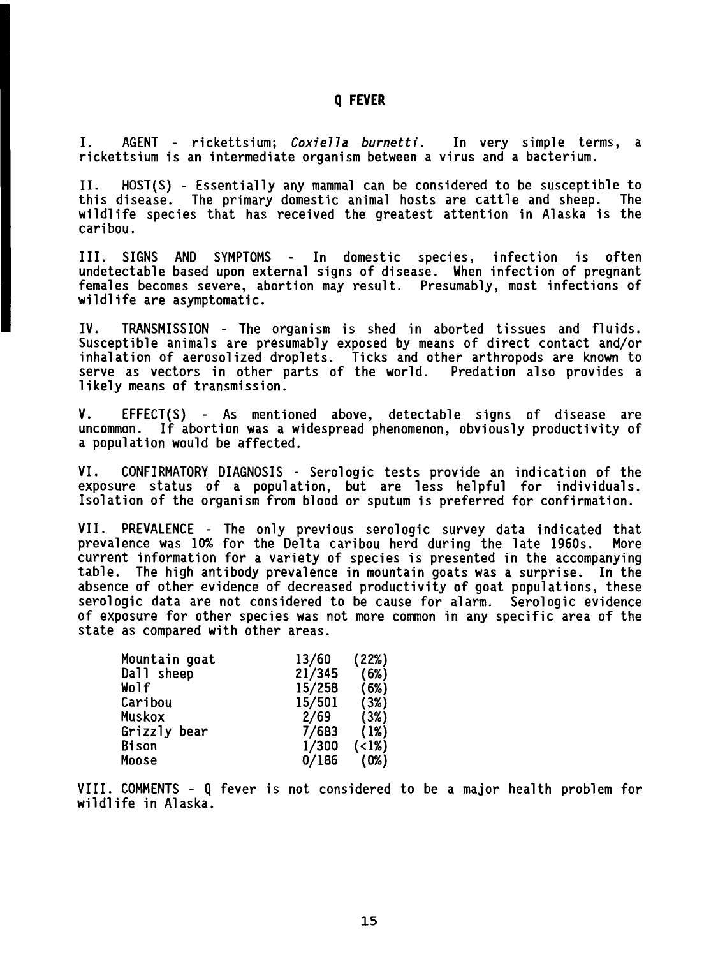# **Q FEVER**

I. AGENT - rickettsium; **Coxie77a burnetti.** In very simple terms, a rickettsium is an intermediate organism between a virus and a bacterium.

11. HOST(S) - Essentially any mammal can be considered to be susceptible to The primary domestic animal hosts are cattle and sheep. wildlife species that has received the greatest attention in Alaska is the caribou.

111. SIGNS AND SYMPTOMS - In domestic species, infection is often undetectable based upon external signs of disease. When infection of pregnant females becomes severe, abortion may result. Presumably, most infections of wildlife are asymptomatic.

IV. TRANSMISSION - The organism is shed in aborted tissues and fluids. Susceptible animals are presumably exposed by means of direct contact and/or inhalation of aerosolized droplets. Ticks and other arthropods are known to Final action of actosofized dispress. Then, and somet at omopous are known so<br>serve as vectors in other parts of the world. Predation also provides a<br>likely means of transmission.

V. EFFECT(S) - As mentioned above, detectable signs of disease are<br>uncommon. If abortion was a widespread phenomenon, obviously productivity of If abortion was a widespread phenomenon, obviously productivity of a population would be affected.

VI. CONFIRMATORY DIAGNOSIS - Serologic tests provide an indication of the exposure status of a population, but are less helpful for individuals. Isolation of the organism from blood or sputum is preferred for confirmation.

VII. PREVALENCE - The only previous serologic survey data indicated that prevalence was 10% for the Delta caribou herd during the late 1960s. More current information for a variety of species is presented in the accompanying table. The high antibody prevalence in mountain goats was a surprise. In the absence of other evidence of decreased productivity of goat populations, these serologic data are not considered to be cause for alarm. Serologic evidence of exposure for other species was not more common in any specific area of the state as compared with other areas.

| Mountain goat | 13/60  | (22%) |
|---------------|--------|-------|
| Dall sheep    | 21/345 | (6%)  |
| Wolf          | 15/258 | (6%)  |
| Caribou       | 15/501 | (3%)  |
| Muskox        | 2/69   | (3%)  |
| Grizzly bear  | 7/683  | (1%)  |
| Bison         | 1/300  | (12)  |
| Moose         | 0/186  | (0%)  |

VIII. COMMENTS - Q fever is not considered to be a major health problem for wildlife in Alaska.